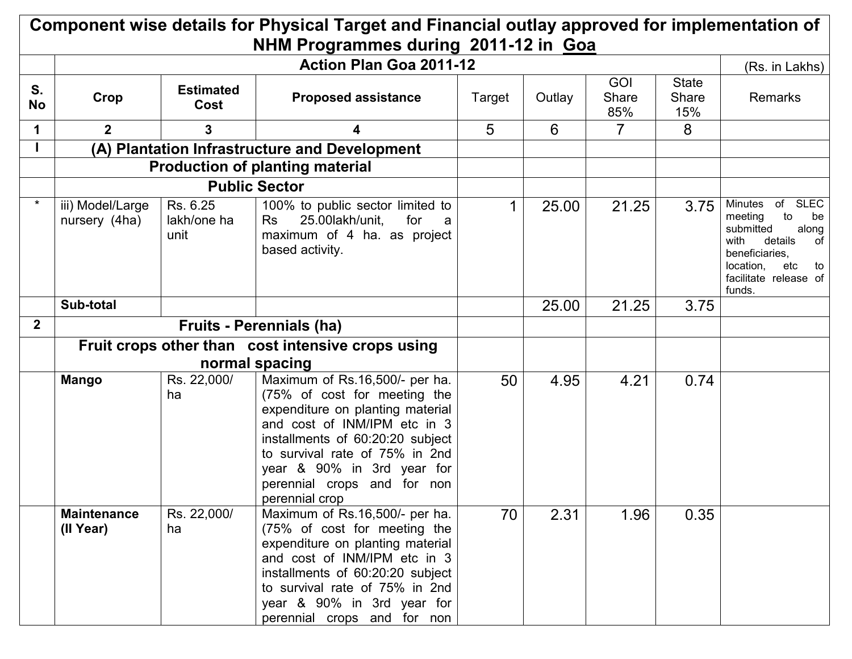| Component wise details for Physical Target and Financial outlay approved for implementation of<br>NHM Programmes during 2011-12 in Goa |                                                                     |                                 |                                                                                                                                                                                                                                                                                         |        |        |                            |                              |                                                                                                                                                                                |  |
|----------------------------------------------------------------------------------------------------------------------------------------|---------------------------------------------------------------------|---------------------------------|-----------------------------------------------------------------------------------------------------------------------------------------------------------------------------------------------------------------------------------------------------------------------------------------|--------|--------|----------------------------|------------------------------|--------------------------------------------------------------------------------------------------------------------------------------------------------------------------------|--|
|                                                                                                                                        | <b>Action Plan Goa 2011-12</b>                                      |                                 |                                                                                                                                                                                                                                                                                         |        |        |                            |                              |                                                                                                                                                                                |  |
| S.<br><b>No</b>                                                                                                                        | Crop                                                                | <b>Estimated</b><br><b>Cost</b> | <b>Proposed assistance</b>                                                                                                                                                                                                                                                              | Target | Outlay | <b>GOI</b><br>Share<br>85% | <b>State</b><br>Share<br>15% | (Rs. in Lakhs)<br>Remarks                                                                                                                                                      |  |
| 1                                                                                                                                      | $\mathbf{2}$                                                        | 3                               |                                                                                                                                                                                                                                                                                         | 5      | 6      | $\overline{7}$             | 8                            |                                                                                                                                                                                |  |
|                                                                                                                                        |                                                                     |                                 | (A) Plantation Infrastructure and Development                                                                                                                                                                                                                                           |        |        |                            |                              |                                                                                                                                                                                |  |
|                                                                                                                                        |                                                                     |                                 | <b>Production of planting material</b>                                                                                                                                                                                                                                                  |        |        |                            |                              |                                                                                                                                                                                |  |
|                                                                                                                                        |                                                                     |                                 | <b>Public Sector</b>                                                                                                                                                                                                                                                                    |        |        |                            |                              |                                                                                                                                                                                |  |
| $\star$                                                                                                                                | iii) Model/Large<br>nursery (4ha)                                   | Rs. 6.25<br>lakh/one ha<br>unit | 100% to public sector limited to<br>25.00lakh/unit,<br>for<br>Rs<br>a<br>maximum of 4 ha. as project<br>based activity.                                                                                                                                                                 | 1      | 25.00  | 21.25                      | 3.75                         | <b>SLEC</b><br>Minutes of<br>meeting<br>to<br>be<br>submitted<br>along<br>with<br>details<br>of<br>beneficiaries.<br>location,<br>etc<br>to<br>facilitate release of<br>funds. |  |
|                                                                                                                                        | Sub-total                                                           |                                 |                                                                                                                                                                                                                                                                                         |        | 25.00  | 21.25                      | 3.75                         |                                                                                                                                                                                |  |
| $\overline{2}$                                                                                                                         |                                                                     |                                 | <b>Fruits - Perennials (ha)</b>                                                                                                                                                                                                                                                         |        |        |                            |                              |                                                                                                                                                                                |  |
|                                                                                                                                        | Fruit crops other than cost intensive crops using<br>normal spacing |                                 |                                                                                                                                                                                                                                                                                         |        |        |                            |                              |                                                                                                                                                                                |  |
|                                                                                                                                        | <b>Mango</b>                                                        | Rs. 22,000/<br>ha               | Maximum of Rs.16,500/- per ha.<br>(75% of cost for meeting the<br>expenditure on planting material<br>and cost of INM/IPM etc in 3<br>installments of 60:20:20 subject<br>to survival rate of 75% in 2nd<br>year & 90% in 3rd year for<br>perennial crops and for non<br>perennial crop | 50     | 4.95   | 4.21                       | 0.74                         |                                                                                                                                                                                |  |
|                                                                                                                                        | <b>Maintenance</b><br>(II Year)                                     | Rs. 22,000/<br>ha               | Maximum of Rs.16,500/- per ha.<br>(75% of cost for meeting the<br>expenditure on planting material<br>and cost of INM/IPM etc in 3<br>installments of 60:20:20 subject<br>to survival rate of 75% in 2nd<br>year & 90% in 3rd year for<br>perennial crops and for non                   | 70     | 2.31   | 1.96                       | 0.35                         |                                                                                                                                                                                |  |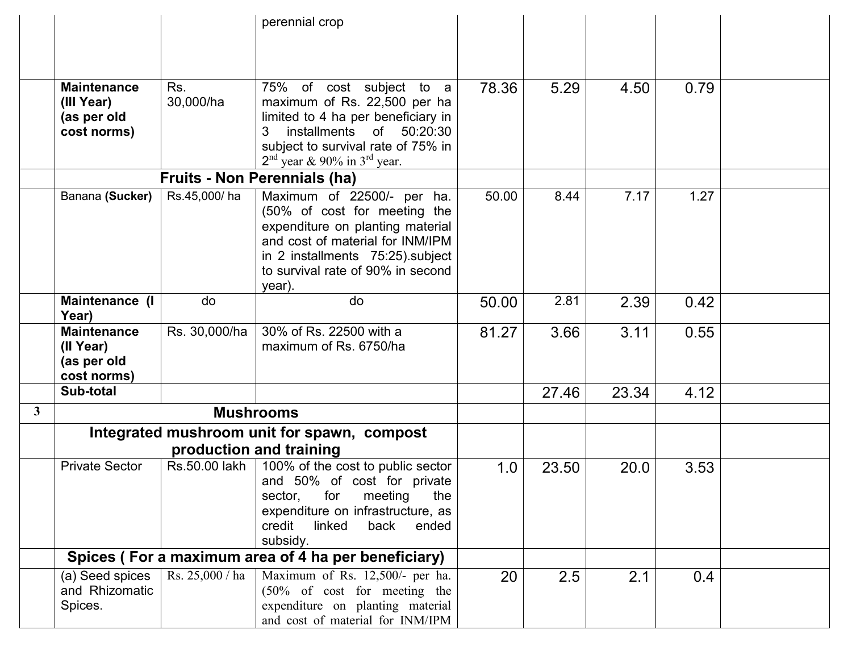|                |                                                                |                  | perennial crop                                                                                                                                                                                                                   |       |       |       |      |  |
|----------------|----------------------------------------------------------------|------------------|----------------------------------------------------------------------------------------------------------------------------------------------------------------------------------------------------------------------------------|-------|-------|-------|------|--|
|                |                                                                |                  |                                                                                                                                                                                                                                  |       |       |       |      |  |
|                |                                                                |                  |                                                                                                                                                                                                                                  |       |       |       |      |  |
|                | <b>Maintenance</b><br>(III Year)<br>(as per old<br>cost norms) | Rs.<br>30,000/ha | $\overline{75\%}$ of cost subject to a<br>maximum of Rs. 22,500 per ha<br>limited to 4 ha per beneficiary in<br>installments of 50:20:30<br>3<br>subject to survival rate of 75% in<br>$2nd$ year & 90% in 3 <sup>rd</sup> year. | 78.36 | 5.29  | 4.50  | 0.79 |  |
|                |                                                                |                  | <b>Fruits - Non Perennials (ha)</b>                                                                                                                                                                                              |       |       |       |      |  |
|                | Banana (Sucker)                                                | Rs.45,000/ha     | Maximum of 22500/- per ha.<br>(50% of cost for meeting the<br>expenditure on planting material<br>and cost of material for INM/IPM<br>in 2 installments 75:25) subject<br>to survival rate of 90% in second<br>year).            | 50.00 | 8.44  | 7.17  | 1.27 |  |
|                | Maintenance (I<br>Year)                                        | do               | do                                                                                                                                                                                                                               | 50.00 | 2.81  | 2.39  | 0.42 |  |
|                | <b>Maintenance</b><br>(II Year)<br>(as per old<br>cost norms)  | Rs. 30,000/ha    | 30% of Rs. 22500 with a<br>maximum of Rs. 6750/ha                                                                                                                                                                                | 81.27 | 3.66  | 3.11  | 0.55 |  |
|                | Sub-total                                                      |                  |                                                                                                                                                                                                                                  |       | 27.46 | 23.34 | 4.12 |  |
| 3 <sup>1</sup> |                                                                |                  | <b>Mushrooms</b>                                                                                                                                                                                                                 |       |       |       |      |  |
|                |                                                                |                  | Integrated mushroom unit for spawn, compost                                                                                                                                                                                      |       |       |       |      |  |
|                |                                                                |                  | production and training                                                                                                                                                                                                          |       |       |       |      |  |
|                | <b>Private Sector</b>                                          | Rs.50.00 lakh    | 100% of the cost to public sector<br>and 50% of cost for private<br>the<br>for<br>meeting<br>sector,<br>expenditure on infrastructure, as<br>credit<br>linked<br>back<br>ended<br>subsidy.                                       | 1.0   | 23.50 | 20.0  | 3.53 |  |
|                |                                                                |                  | Spices (For a maximum area of 4 ha per beneficiary)                                                                                                                                                                              |       |       |       |      |  |
|                | (a) Seed spices<br>and Rhizomatic<br>Spices.                   | Rs. 25,000 / ha  | Maximum of Rs. 12,500/- per ha.<br>$(50\% \text{ of cost}$ for meeting the<br>expenditure on planting material<br>and cost of material for INM/IPM                                                                               | 20    | 2.5   | 2.1   | 0.4  |  |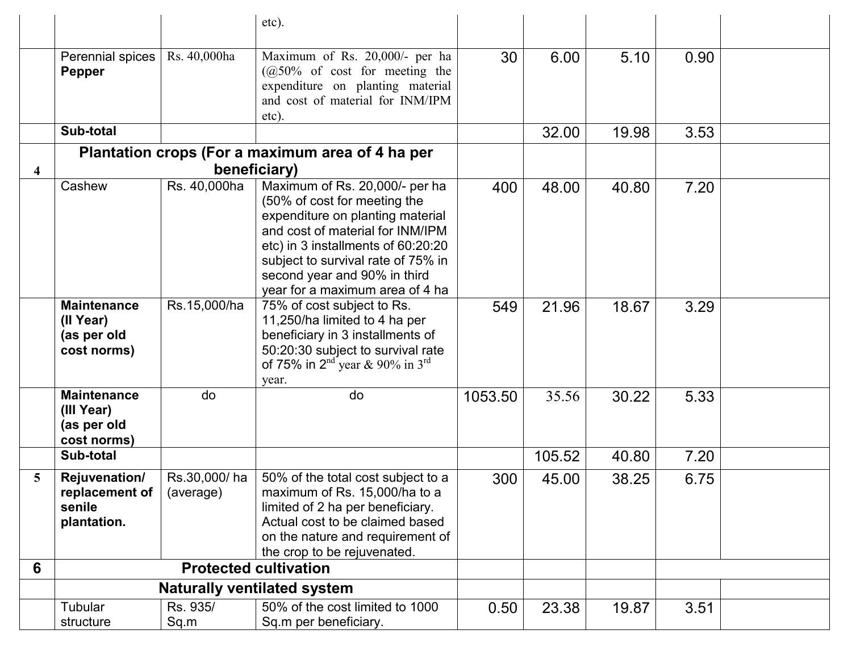|                         |                                                                |                              | etc).                                                                                                                                                                                                                                                                                                               |            |                |                |              |  |
|-------------------------|----------------------------------------------------------------|------------------------------|---------------------------------------------------------------------------------------------------------------------------------------------------------------------------------------------------------------------------------------------------------------------------------------------------------------------|------------|----------------|----------------|--------------|--|
|                         | Perennial spices<br>Pepper                                     | Rs. 40,000ha                 | Maximum of Rs. 20,000/- per ha<br>$(Q50\% \text{ of cost for meeting the})$<br>expenditure on planting material<br>and cost of material for INM/IPM<br>etc).                                                                                                                                                        | 30         | 6.00           | 5.10           | 0.90         |  |
|                         | Sub-total                                                      |                              |                                                                                                                                                                                                                                                                                                                     |            | 32.00          | 19.98          | 3.53         |  |
|                         |                                                                |                              | Plantation crops (For a maximum area of 4 ha per                                                                                                                                                                                                                                                                    |            |                |                |              |  |
| $\overline{\mathbf{4}}$ |                                                                |                              | beneficiary)                                                                                                                                                                                                                                                                                                        |            |                |                |              |  |
|                         | Cashew<br><b>Maintenance</b>                                   | Rs. 40,000ha<br>Rs.15,000/ha | Maximum of Rs. 20,000/- per ha<br>(50% of cost for meeting the<br>expenditure on planting material<br>and cost of material for INM/IPM<br>etc) in 3 installments of 60:20:20<br>subject to survival rate of 75% in<br>second year and 90% in third<br>year for a maximum area of 4 ha<br>75% of cost subject to Rs. | 400<br>549 | 48.00<br>21.96 | 40.80<br>18.67 | 7.20<br>3.29 |  |
|                         | (II Year)<br>(as per old<br>cost norms)                        |                              | 11,250/ha limited to 4 ha per<br>beneficiary in 3 installments of<br>50:20:30 subject to survival rate<br>of 75% in 2 <sup>nd</sup> year & 90% in 3 <sup>rd</sup><br>year.                                                                                                                                          |            |                |                |              |  |
|                         | <b>Maintenance</b><br>(III Year)<br>(as per old<br>cost norms) | do                           | do                                                                                                                                                                                                                                                                                                                  | 1053.50    | 35.56          | 30.22          | 5.33         |  |
|                         | Sub-total                                                      |                              |                                                                                                                                                                                                                                                                                                                     |            | 105.52         | 40.80          | 7.20         |  |
| 5                       | Rejuvenation/<br>replacement of $ $<br>senile<br>plantation.   | Rs.30,000/ha<br>(average)    | 50% of the total cost subject to a<br>maximum of Rs. 15,000/ha to a<br>limited of 2 ha per beneficiary.<br>Actual cost to be claimed based<br>on the nature and requirement of<br>the crop to be rejuvenated.                                                                                                       | 300        | 45.00          | 38.25          | 6.75         |  |
| 6                       |                                                                |                              | <b>Protected cultivation</b>                                                                                                                                                                                                                                                                                        |            |                |                |              |  |
|                         |                                                                |                              | <b>Naturally ventilated system</b>                                                                                                                                                                                                                                                                                  |            |                |                |              |  |
|                         | Tubular<br>structure                                           | Rs. 935/<br>Sq.m             | 50% of the cost limited to 1000<br>Sq.m per beneficiary.                                                                                                                                                                                                                                                            | 0.50       | 23.38          | 19.87          | 3.51         |  |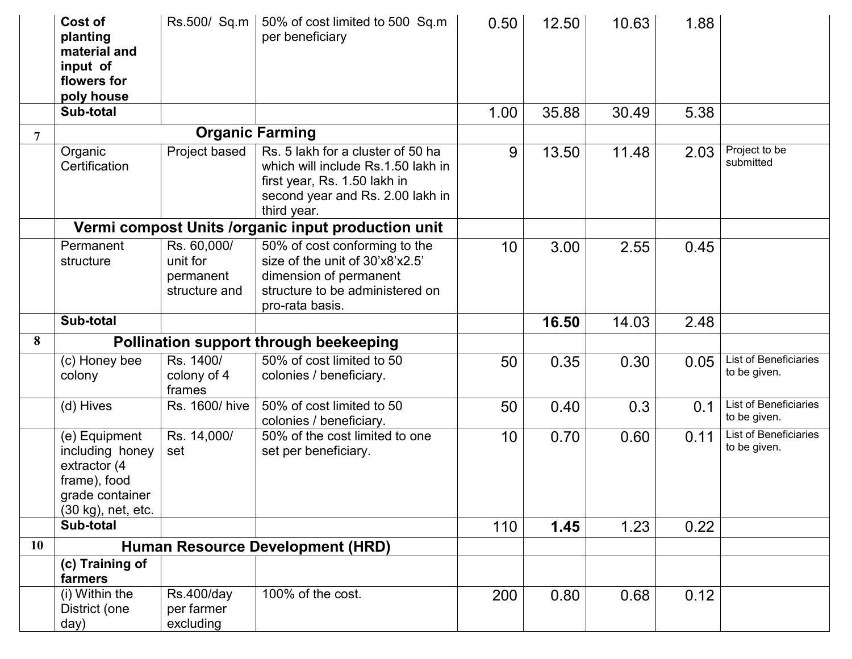|                | Cost of<br>planting<br>material and<br>input of<br>flowers for<br>poly house                              | Rs.500/ Sq.m                                          | 50% of cost limited to 500 Sq.m<br>per beneficiary                                                                                                         | 0.50 | 12.50 | 10.63 | 1.88 |                                              |
|----------------|-----------------------------------------------------------------------------------------------------------|-------------------------------------------------------|------------------------------------------------------------------------------------------------------------------------------------------------------------|------|-------|-------|------|----------------------------------------------|
|                | Sub-total                                                                                                 |                                                       |                                                                                                                                                            | 1.00 | 35.88 | 30.49 | 5.38 |                                              |
| $\overline{7}$ |                                                                                                           |                                                       | <b>Organic Farming</b>                                                                                                                                     |      |       |       |      |                                              |
|                | Organic<br>Certification                                                                                  | Project based                                         | Rs. 5 lakh for a cluster of 50 ha<br>which will include Rs.1.50 lakh in<br>first year, Rs. 1.50 lakh in<br>second year and Rs. 2.00 lakh in<br>third year. | 9    | 13.50 | 11.48 | 2.03 | Project to be<br>submitted                   |
|                |                                                                                                           |                                                       | Vermi compost Units /organic input production unit                                                                                                         |      |       |       |      |                                              |
|                | Permanent<br>structure                                                                                    | Rs. 60,000/<br>unit for<br>permanent<br>structure and | 50% of cost conforming to the<br>size of the unit of 30'x8'x2.5'<br>dimension of permanent<br>structure to be administered on<br>pro-rata basis.           | 10   | 3.00  | 2.55  | 0.45 |                                              |
|                | Sub-total                                                                                                 |                                                       |                                                                                                                                                            |      | 16.50 | 14.03 | 2.48 |                                              |
| 8              |                                                                                                           |                                                       | <b>Pollination support through beekeeping</b>                                                                                                              |      |       |       |      |                                              |
|                | (c) Honey bee<br>colony                                                                                   | Rs. 1400/<br>colony of 4<br>frames                    | 50% of cost limited to 50<br>colonies / beneficiary.                                                                                                       | 50   | 0.35  | 0.30  | 0.05 | <b>List of Beneficiaries</b><br>to be given. |
|                | (d) Hives                                                                                                 | Rs. 1600/hive                                         | 50% of cost limited to 50<br>colonies / beneficiary.                                                                                                       | 50   | 0.40  | 0.3   | 0.1  | <b>List of Beneficiaries</b><br>to be given. |
|                | (e) Equipment<br>including honey<br>extractor (4<br>frame), food<br>grade container<br>(30 kg), net, etc. | Rs. 14,000/<br>set                                    | 50% of the cost limited to one<br>set per beneficiary.                                                                                                     | 10   | 0.70  | 0.60  | 0.11 | <b>List of Beneficiaries</b><br>to be given. |
|                | Sub-total                                                                                                 |                                                       |                                                                                                                                                            | 110  | 1.45  | 1.23  | 0.22 |                                              |
| 10             |                                                                                                           |                                                       | <b>Human Resource Development (HRD)</b>                                                                                                                    |      |       |       |      |                                              |
|                | (c) Training of<br>farmers                                                                                |                                                       |                                                                                                                                                            |      |       |       |      |                                              |
|                | (i) Within the<br>District (one<br>day)                                                                   | <b>Rs.400/day</b><br>per farmer<br>excluding          | 100% of the cost.                                                                                                                                          | 200  | 0.80  | 0.68  | 0.12 |                                              |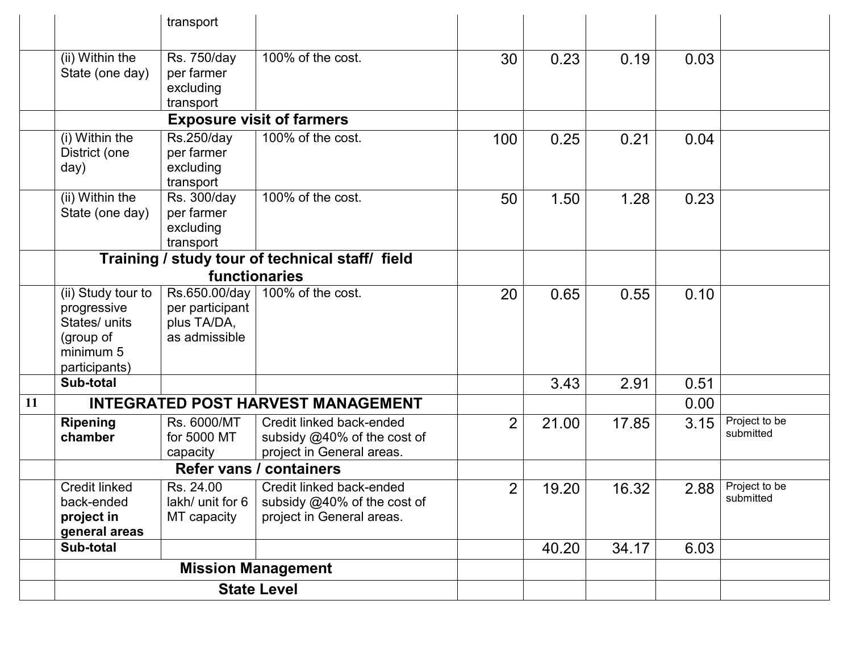|    |                                                                                               | transport                                                          |                                                                                      |                |       |       |      |                            |
|----|-----------------------------------------------------------------------------------------------|--------------------------------------------------------------------|--------------------------------------------------------------------------------------|----------------|-------|-------|------|----------------------------|
|    | (ii) Within the<br>State (one day)                                                            | Rs. 750/day<br>per farmer<br>excluding<br>transport                | 100% of the cost.                                                                    | 30             | 0.23  | 0.19  | 0.03 |                            |
|    |                                                                                               |                                                                    | <b>Exposure visit of farmers</b>                                                     |                |       |       |      |                            |
|    | (i) Within the<br>District (one<br>day)                                                       | Rs.250/day<br>per farmer<br>excluding<br>transport                 | 100% of the cost.                                                                    | 100            | 0.25  | 0.21  | 0.04 |                            |
|    | (ii) Within the<br>State (one day)                                                            | Rs. 300/day<br>per farmer<br>excluding<br>transport                | 100% of the cost.                                                                    | 50             | 1.50  | 1.28  | 0.23 |                            |
|    |                                                                                               |                                                                    | Training / study tour of technical staff/ field<br>functionaries                     |                |       |       |      |                            |
|    | (ii) Study tour to<br>progressive<br>States/ units<br>(group of<br>minimum 5<br>participants) | Rs.650.00/day  <br>per participant<br>plus TA/DA,<br>as admissible | 100% of the cost.                                                                    | 20             | 0.65  | 0.55  | 0.10 |                            |
|    | Sub-total                                                                                     |                                                                    |                                                                                      |                | 3.43  | 2.91  | 0.51 |                            |
| 11 |                                                                                               |                                                                    | <b>INTEGRATED POST HARVEST MANAGEMENT</b>                                            |                |       |       | 0.00 |                            |
|    | <b>Ripening</b><br>chamber                                                                    | Rs. 6000/MT<br>for 5000 MT<br>capacity                             | Credit linked back-ended<br>subsidy @40% of the cost of<br>project in General areas. | $\overline{2}$ | 21.00 | 17.85 | 3.15 | Project to be<br>submitted |
|    |                                                                                               | <b>Refer vans / containers</b>                                     |                                                                                      |                |       |       |      |                            |
|    | <b>Credit linked</b><br>back-ended<br>project in<br>general areas                             | Rs. 24.00<br>lakh/ unit for 6<br>MT capacity                       | Credit linked back-ended<br>subsidy @40% of the cost of<br>project in General areas. | $\overline{2}$ | 19.20 | 16.32 | 2.88 | Project to be<br>submitted |
|    | Sub-total                                                                                     |                                                                    |                                                                                      |                | 40.20 | 34.17 | 6.03 |                            |
|    |                                                                                               |                                                                    | <b>Mission Management</b>                                                            |                |       |       |      |                            |
|    |                                                                                               |                                                                    | <b>State Level</b>                                                                   |                |       |       |      |                            |